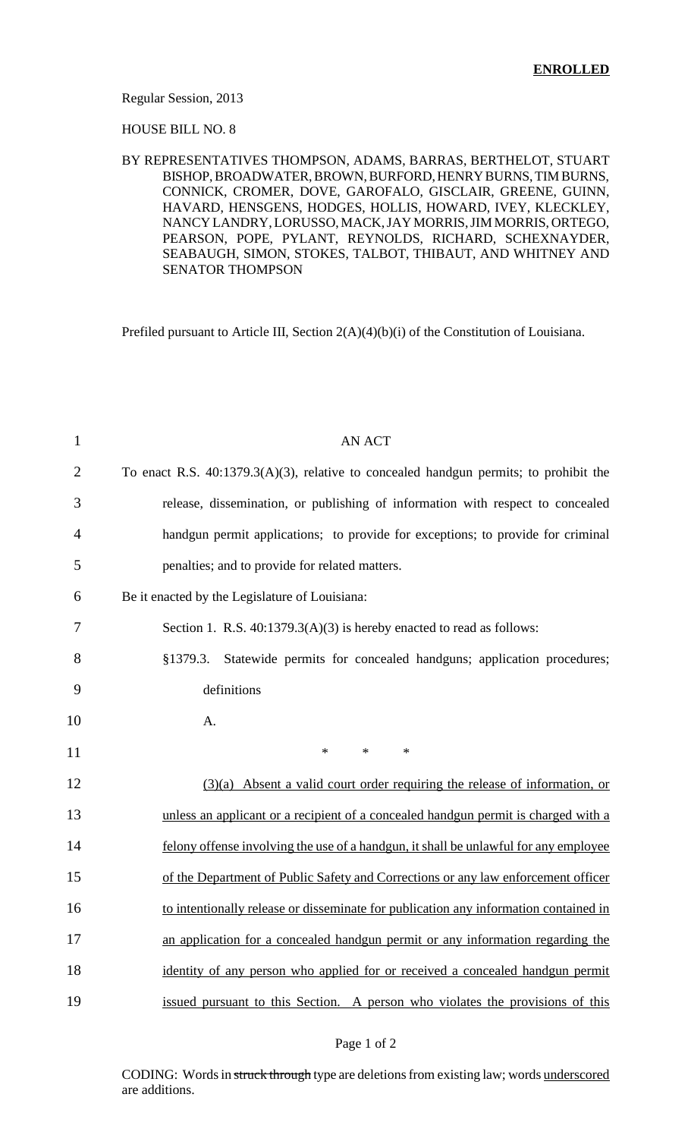#### Regular Session, 2013

#### HOUSE BILL NO. 8

#### BY REPRESENTATIVES THOMPSON, ADAMS, BARRAS, BERTHELOT, STUART BISHOP, BROADWATER, BROWN, BURFORD, HENRY BURNS, TIM BURNS, CONNICK, CROMER, DOVE, GAROFALO, GISCLAIR, GREENE, GUINN, HAVARD, HENSGENS, HODGES, HOLLIS, HOWARD, IVEY, KLECKLEY, NANCY LANDRY, LORUSSO, MACK, JAY MORRIS, JIM MORRIS, ORTEGO, PEARSON, POPE, PYLANT, REYNOLDS, RICHARD, SCHEXNAYDER, SEABAUGH, SIMON, STOKES, TALBOT, THIBAUT, AND WHITNEY AND SENATOR THOMPSON

Prefiled pursuant to Article III, Section 2(A)(4)(b)(i) of the Constitution of Louisiana.

| $\mathbf{1}$   | <b>AN ACT</b>                                                                            |
|----------------|------------------------------------------------------------------------------------------|
| $\overline{2}$ | To enact R.S. $40:1379.3(A)(3)$ , relative to concealed handgun permits; to prohibit the |
| 3              | release, dissemination, or publishing of information with respect to concealed           |
| 4              | handgun permit applications; to provide for exceptions; to provide for criminal          |
| 5              | penalties; and to provide for related matters.                                           |
| 6              | Be it enacted by the Legislature of Louisiana:                                           |
| 7              | Section 1. R.S. $40:1379.3(A)(3)$ is hereby enacted to read as follows:                  |
| 8              | §1379.3.<br>Statewide permits for concealed handguns; application procedures;            |
| 9              | definitions                                                                              |
| 10             | A.                                                                                       |
| 11             | $\ast$<br>$\ast$<br>$\ast$                                                               |
| 12             | $(3)(a)$ Absent a valid court order requiring the release of information, or             |
| 13             | unless an applicant or a recipient of a concealed handgun permit is charged with a       |
| 14             | felony offense involving the use of a handgun, it shall be unlawful for any employee     |
| 15             | of the Department of Public Safety and Corrections or any law enforcement officer        |
| 16             | to intentionally release or disseminate for publication any information contained in     |
| 17             | an application for a concealed handgun permit or any information regarding the           |
| 18             | identity of any person who applied for or received a concealed handgun permit            |
| 19             | issued pursuant to this Section. A person who violates the provisions of this            |

#### Page 1 of 2

CODING: Words in struck through type are deletions from existing law; words underscored are additions.